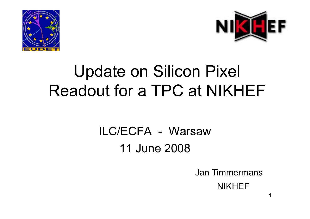



# Update on Silicon Pixel Readout for a TPC at NIKHEF

### ILC/ECFA- Warsaw11 June 2008

Jan Timmermans

NIKHEF

1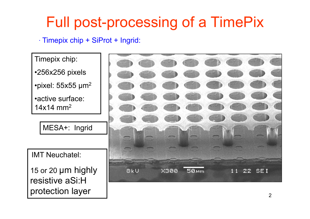### Full post-processing of a TimePix

· Timepix chip + SiProt + Ingrid:

Timepix chip: •256x256 pixels •pixel: 55x55 µm<sup>2</sup> •active surface: 14x14 mm $^{\rm 2}$ MESA+: Ingrid IMT Neuchatel: 15 or 20 μm highly 8kU  $X388$  $50<sub>km</sub>$ 22 SEI  $11$ resistive aSi:H protection layer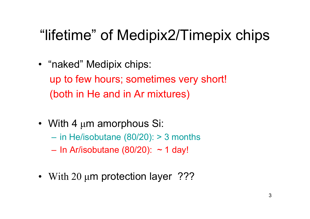### "lifetime" of Medipix2/Timepix chips

- "naked" Medipix chips: up to few hours; sometimes very short! (both in He and in Ar mixtures)
- With 4 μm amorphous Si:
	- $-$  in He/isobutane (80/20): > 3 months
	- –In Ar/isobutane (80/20): ~ 1 day!
- With 20 μm protection layer ???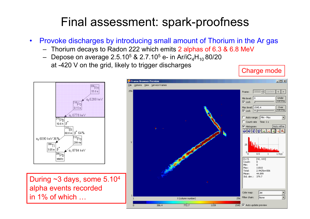#### Final assessment: spark-proofness

- $\bullet$  Provoke discharges by introducing small amount of Thorium in the Ar gas
	- Thorium decays to Radon 222 which emits 2 alphas of 6.3 & 6.8 MeV
	- $-$  Depose on average 2.5.10 $^5$  & 2.7.10 $^5$  e- in Ar/iC $_4$ H $_{10}$ 80/20 at -420 V on the grid, likely to trigger discharges <br>
	Charge mode



During  $\sim$ 3 days, some 5.10<sup>4</sup> alpha events recorded in 1% of which …

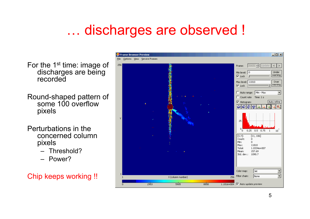### … discharges are observed !

For the 1<sup>st</sup> time: image of discharges are being recorded

Round-shaped pattern of some 100 overflow pixels

Perturbations in the concerned column pixels

- Threshold?
- Power?

Chip keeps working !!

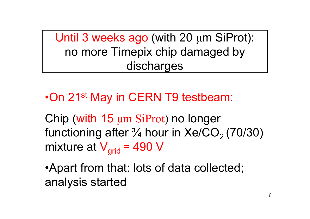Until 3 weeks ago (with 20  $\mu$ m SiProt): no more Timepix chip damaged by discharges

•On 21st May in CERN T9 testbeam:

Chip (with 15 μm SiProt) no longer functioning after  $\frac{3}{4}$  hour in Xe/CO<sub>2</sub> (70/30) mixture at  $V_{\text{grid}}$  = 490 V

•Apart from that: lots of data collected; analysis started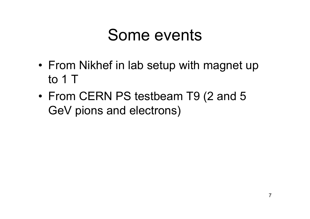## Some events

- • From Nikhef in lab setup with magnet up to 1 T
- • From CERN PS testbeam T9 (2 and 5 GeV pions and electrons)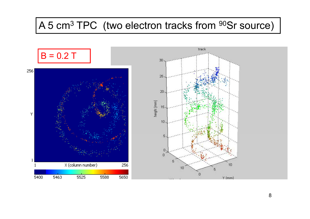#### A 5 cm<sup>3</sup> TPC (two electron tracks from <sup>90</sup>Sr source)

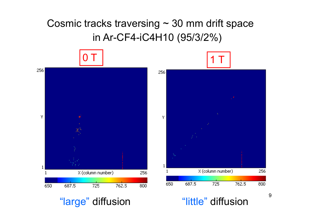#### Cosmic tracks traversing  $\sim$  30 mm drift space in Ar-CF4-iC4H10 (95/3/2%)

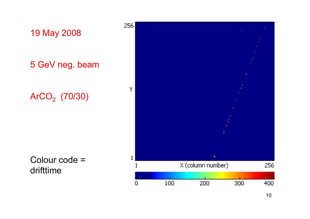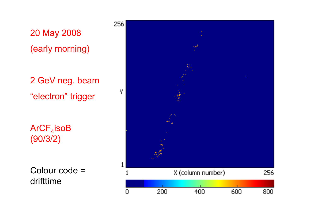

2 GeV ne g. beam "electron" trigger

 $\mathsf{ArCF}_4$ iso $\mathsf B$ (90/3/2)

Colour code = drifttime

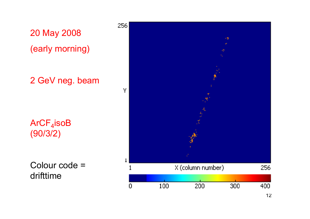

drifttime

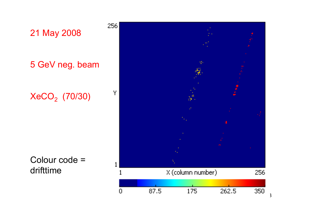

Colour code <sup>=</sup> drifttime



 $\overline{3}$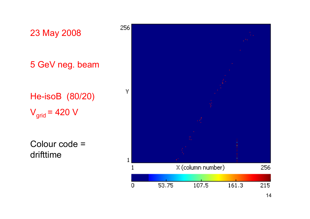

drifttime



14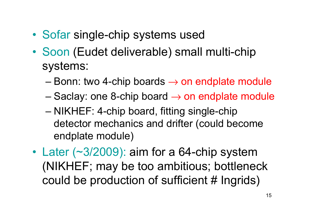- •• Sofar single-chip systems used
- Soon (Eudet deliverable) small multi-chip systems:
	- –– Bonn: two 4-chip boards  $\rightarrow$  on endplate module
	- –Saclay: one 8-chip board  $\rightarrow$  on endplate module
	- –– NIKHEF: 4-chip board, fitting single-chip detector mechanics and drifter (could become endplate module)
- • Later (~3/2009): aim for a 64-chip system (NIKHEF; may be too ambitious; bottleneck could be production of sufficient # Ingrids) Ingrids)